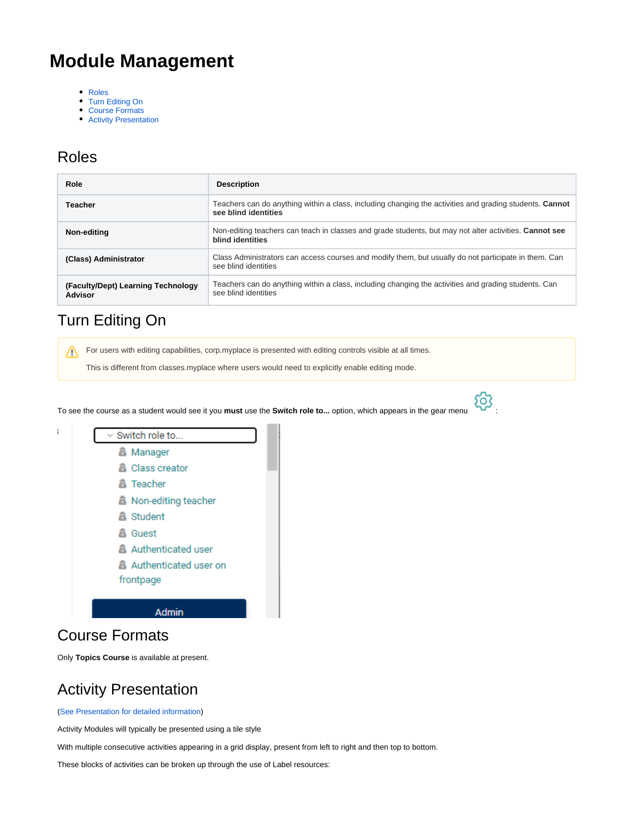# **Module Management**

- [Roles](#page-0-0)
- [Turn Editing On](#page-0-1)
- [Course Formats](#page-0-2)
- [Activity Presentation](#page-0-3)

#### <span id="page-0-0"></span>Roles

| Role                                          | <b>Description</b>                                                                                                                     |
|-----------------------------------------------|----------------------------------------------------------------------------------------------------------------------------------------|
| Teacher                                       | Teachers can do anything within a class, including changing the activities and grading students. <b>Cannot</b><br>see blind identities |
| Non-editing                                   | Non-editing teachers can teach in classes and grade students, but may not alter activities. Cannot see<br>blind identities             |
| (Class) Administrator                         | Class Administrators can access courses and modify them, but usually do not participate in them. Can<br>see blind identities           |
| (Faculty/Dept) Learning Technology<br>Advisor | Teachers can do anything within a class, including changing the activities and grading students. Can<br>see blind identities           |

## <span id="page-0-1"></span>Turn Editing On

For users with editing capabilities, corp.myplace is presented with editing controls visible at all times.

This is different from classes.myplace where users would need to explicitly enable editing mode.

To see the course as a student would see it you **must** use the **Switch role to...** option, which appears in the gear menu :





## <span id="page-0-2"></span>Course Formats

Only **Topics Course** is available at present.

## <span id="page-0-3"></span>Activity Presentation

([See Presentation for detailed information\)](https://wiki.lte.strath.ac.uk/display/MS/Presentation)

Activity Modules will typically be presented using a tile style

With multiple consecutive activities appearing in a grid display, present from left to right and then top to bottom.

These blocks of activities can be broken up through the use of Label resources: